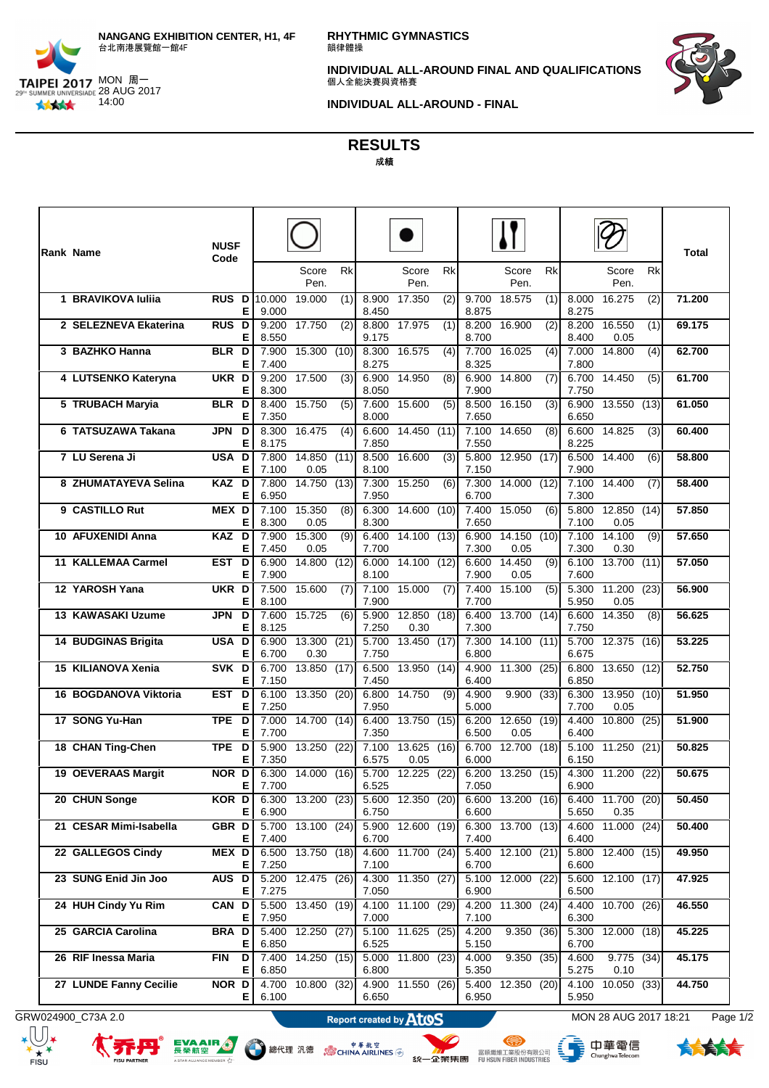

**RHYTHMIC GYMNASTICS** 韻律體操

**INDIVIDUAL ALL-AROUND FINAL AND QUALIFICATIONS**<br>個人全能決賽與資格賽



**INDIVIDUAL ALL-AROUND - FINAL**

**RESULTS** 成績

| Rank Name              | <b>NUSF</b><br>Code      |                |                     |     |                |                     |                  |                |                     |     |                             |                           |      | <b>Total</b> |
|------------------------|--------------------------|----------------|---------------------|-----|----------------|---------------------|------------------|----------------|---------------------|-----|-----------------------------|---------------------------|------|--------------|
|                        |                          |                | Score<br>Pen.       | Rk  |                | Score<br>Pen.       | Rk               |                | Score<br>Pen.       | Rk  |                             | Score<br>Pen.             | Rk   |              |
| 1 BRAVIKOVA Iulija     | <b>RUS D 10.000</b><br>Е | 9.000          | 19.000              | (1) | 8.900<br>8.450 | 17.350              | (2)              | 9.700<br>8.875 | 18.575              | (1) | 8.000<br>8.275              | 16.275                    | (2)  | 71.200       |
| 2 SELEZNEVA Ekaterina  | <b>RUS D</b><br>Е        | 9.200<br>8.550 | 17.750              | (2) | 9.175          | 8.800 17.975        | (1)              | 8.200<br>8.700 | 16.900              | (2) | 8.200<br>8.400              | 16.550<br>0.05            | (1)  | 69.175       |
| 3 BAZHKO Hanna         | BLR D<br>Е               | 7.900<br>7.400 | 15.300 (10)         |     | 8.300<br>8.275 | 16.575              | (4)              | 7.700<br>8.325 | 16.025              | (4) | 7.000<br>7.800              | 14.800                    | (4)  | 62.700       |
| 4 LUTSENKO Kateryna    | UKR D<br>Е               | 9.200<br>8.300 | 17.500              | (3) | 6.900<br>8.050 | 14.950              | (8)              | 6.900<br>7.900 | 14.800              | (7) | 6.700<br>7.750              | 14.450                    | (5)  | 61.700       |
| 5 TRUBACH Maryia       | BLR D<br>Е               | 8.400<br>7.350 | 15.750              | (5) | 7.600<br>8.000 | 15.600              | $\overline{(5)}$ | 8.500<br>7.650 | 16.150              | (3) | 6.900<br>6.650              | 13.550(13)                |      | 61.050       |
| 6 TATSUZAWA Takana     | <b>JPN</b><br>D<br>Е     | 8.300<br>8.175 | 16.475              | (4) | 6.600<br>7.850 | 14.450 (11)         |                  | 7.100<br>7.550 | 14.650              | (8) | 6.600<br>8.225              | 14.825                    | (3)  | 60.400       |
| 7 LU Serena Ji         | USA D<br>Е               | 7.800<br>7.100 | 14.850 (11)<br>0.05 |     | 8.500<br>8.100 | 16.600              | (3)              | 5.800<br>7.150 | 12.950 (17)         |     | 6.500<br>7.900              | 14.400                    | (6)  | 58.800       |
| 8 ZHUMATAYEVA Selina   | KAZ D<br>Е               | 7.800<br>6.950 | 14.750 (13)         |     | 7.950          | 7.300 15.250        | (6)              | 7.300<br>6.700 | 14.000 (12)         |     | 7.100<br>7.300              | 14.400                    | (7)  | 58.400       |
| 9 CASTILLO Rut         | MEX D<br>Е               | 7.100<br>8.300 | 15.350<br>0.05      | (8) | 6.300<br>8.300 | 14.600 (10)         |                  | 7.400<br>7.650 | 15.050              | (6) | $\overline{5.800}$<br>7.100 | 12.850<br>0.05            | (14) | 57.850       |
| 10 AFUXENIDI Anna      | KAZ D<br>Е               | 7.900<br>7.450 | 15.300<br>0.05      | (9) | 6.400<br>7.700 | 14.100(13)          |                  | 6.900<br>7.300 | 14.150 (10)<br>0.05 |     | 7.100<br>7.300              | 14.100<br>0.30            | (9)  | 57.650       |
| 11 KALLEMAA Carmel     | EST D<br>Е               | 6.900<br>7.900 | 14.800 (12)         |     | 6.000<br>8.100 | 14.100(12)          |                  | 6.600<br>7.900 | 14.450<br>0.05      | (9) | 6.100<br>7.600              | 13.700(11)                |      | 57.050       |
| 12 YAROSH Yana         | UKR D<br>Е               | 7.500<br>8.100 | 15.600              | (7) | 7.900          | 7.100 15.000        | (7)              | 7.400<br>7.700 | 15.100              | (5) | 5.300<br>5.950              | 11.200 (23)<br>0.05       |      | 56.900       |
| 13 KAWASAKI Uzume      | JPN D<br>Е               | 7.600<br>8.125 | 15.725              | (6) | 5.900<br>7.250 | 12.850 (18)<br>0.30 |                  | 6.400<br>7.300 | 13.700 (14)         |     | 6.600<br>7.750              | 14.350                    | (8)  | 56.625       |
| 14 BUDGINAS Brigita    | USA D<br>Е               | 6.900<br>6.700 | 13.300 (21)<br>0.30 |     | 5.700<br>7.750 | 13.450(17)          |                  | 7.300<br>6.800 | 14.100(11)          |     | 5.700<br>6.675              | 12.375(16)                |      | 53.225       |
| 15 KILIANOVA Xenia     | SVK D<br>Е               | 6.700<br>7.150 | 13.850(17)          |     | 6.500<br>7.450 | 13.950(14)          |                  | 4.900<br>6.400 | 11.300 (25)         |     | 6.800<br>6.850              | 13.650(12)                |      | 52.750       |
| 16 BOGDANOVA Viktoria  | EST D<br>Е               | 6.100<br>7.250 | 13.350 (20)         |     | 6.800<br>7.950 | 14.750              | (9)              | 4.900<br>5.000 | 9.900(33)           |     | 6.300<br>7.700              | 13.950 (10)<br>0.05       |      | 51.950       |
| 17 SONG Yu-Han         | TPE D<br>Е               | 7.000<br>7.700 | 14.700(14)          |     | 6.400<br>7.350 | 13.750(15)          |                  | 6.200<br>6.500 | 12.650 (19)<br>0.05 |     | 4.400<br>6.400              | 10.800 (25)               |      | 51.900       |
| 18 CHAN Ting-Chen      | TPE D<br>Е               | 5.900<br>7.350 | 13.250 (22)         |     | 7.100<br>6.575 | 13.625 (16)<br>0.05 |                  | 6.700<br>6.000 | 12.700 (18)         |     | 5.100<br>6.150              | 11.250 (21)               |      | 50.825       |
| 19 OEVERAAS Margit     | NOR D<br>E               | 6.300<br>7.700 | 14.000 (16)         |     | 5.700<br>6.525 | 12.225 (22)         |                  | 6.200<br>7.050 | 13.250 (15)         |     | 4.300<br>6.900              | 11.200(22)                |      | 50.675       |
| 20 CHUN Songe          | KOR D<br>Е               | 6.900          | 6.300 13.200 (23)   |     | 6.750          | 5.600 12.350 (20)   |                  | 6.600          | 6.600 13.200 (16)   |     | 5.650                       | 6.400 11.700 (20)<br>0.35 |      | 50.450       |
| 21 CESAR Mimi-Isabella | GBR <sub>D</sub><br>Е    | 5.700<br>7.400 | 13.100(24)          |     | 6.700          | 5.900 12.600 (19)   |                  | 6.300<br>7.400 | 13.700(13)          |     | 4.600<br>6.400              | 11.000 (24)               |      | 50.400       |
| 22 GALLEGOS Cindy      | MEX D<br>Е               | 6.500<br>7.250 | 13.750 (18)         |     | 7.100          | 4.600 11.700 (24)   |                  | 5.400<br>6.700 | 12.100 (21)         |     | 5.800<br>6.600              | 12.400 (15)               |      | 49.950       |
| 23 SUNG Enid Jin Joo   | AUS D<br>Е               | 7.275          | 5.200 12.475 (26)   |     | 7.050          | 4.300 11.350 (27)   |                  | 6.900          | 5.100 12.000 (22)   |     | 6.500                       | 5.600 12.100 (17)         |      | 47.925       |
| 24 HUH Cindy Yu Rim    | CAN D<br>Е               | 7.950          | 5.500 13.450 (19)   |     | 7.000          | 4.100 11.100 (29)   |                  | 4.200<br>7.100 | 11.300 (24)         |     | 4.400<br>6.300              | 10.700 (26)               |      | 46.550       |
| 25 GARCIA Carolina     | <b>BRA</b> D<br>Е        | 5.400<br>6.850 | 12.250 (27)         |     | 6.525          | 5.100 11.625 (25)   |                  | 4.200<br>5.150 | 9.350 (36)          |     | 5.300<br>6.700              | 12.000 (18)               |      | 45.225       |
| 26 RIF Inessa Maria    | <b>FIN</b><br>D<br>Е     | 6.850          | 7.400 14.250 (15)   |     | 6.800          | 5.000 11.800 (23)   |                  | 4.000<br>5.350 | 9.350(35)           |     | 4.600<br>5.275              | $9.775$ (34)<br>0.10      |      | 45.175       |
| 27 LUNDE Fanny Cecilie | NOR D<br>E.              | 4.700<br>6.100 | 10.800 (32)         |     | 6.650          | 4.900 11.550 (26)   |                  | 5.400<br>6.950 | 12.350 (20)         |     | 4.100<br>5.950              | 10.050 (33)               |      | 44.750       |

GRW024900\_C73A 2.0 **MON 28 AUG 2017 18:21** Page 1/2



εŵ

A STAR ALL